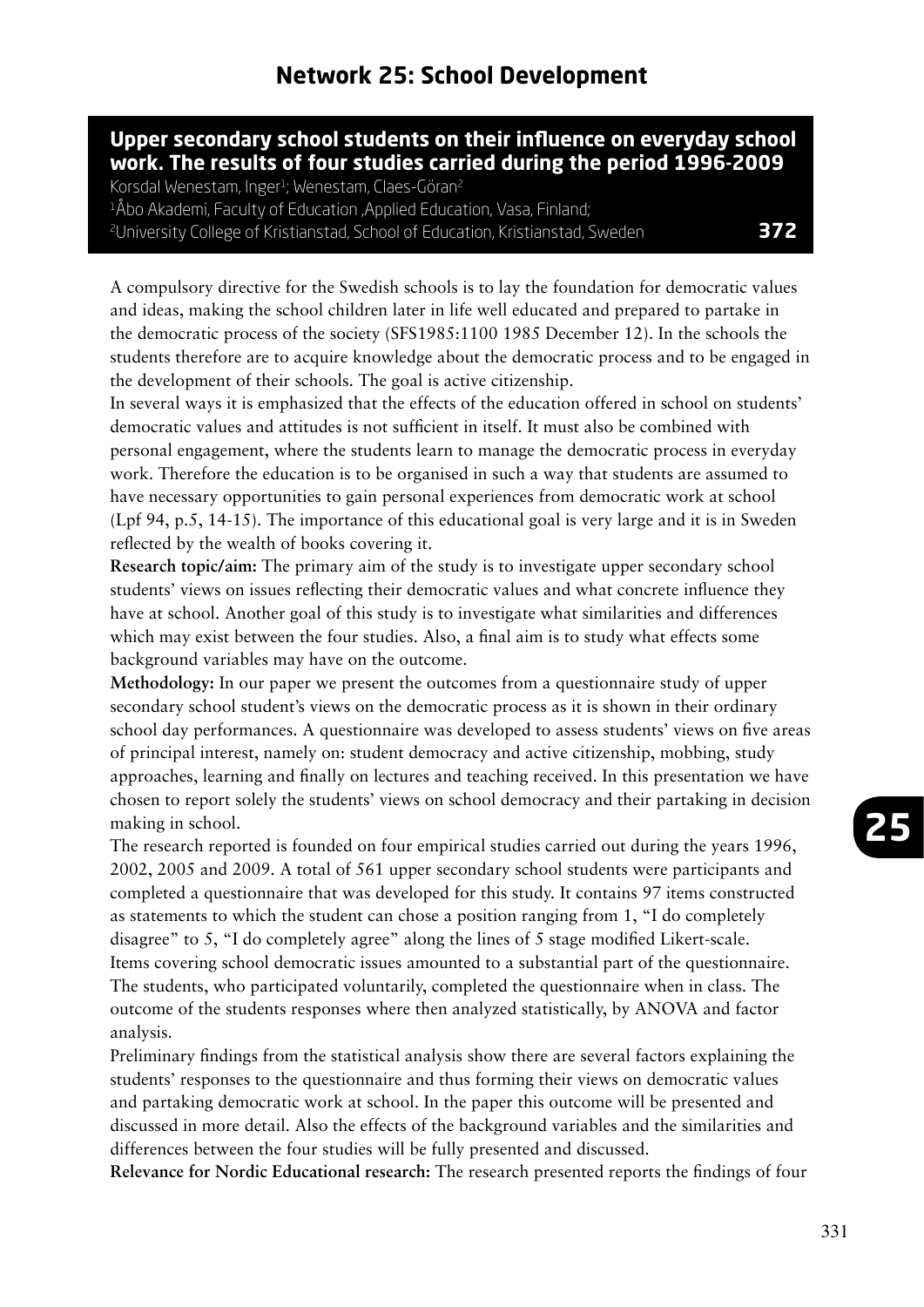## **Upper secondary school students on their influence on everyday school work. The results of four studies carried during the period 1996-2009**

Korsdal Wenestam, Inger<sup>1</sup>; Wenestam, Claes-Göran<sup>2</sup> <sup>1</sup>Åbo Akademi, Faculty of Education, Applied Education, Vasa, Finland; 2University College of Kristianstad, School of Education, Kristianstad, Sweden **372**

A compulsory directive for the Swedish schools is to lay the foundation for democratic values and ideas, making the school children later in life well educated and prepared to partake in the democratic process of the society (SFS1985:1100 1985 December 12). In the schools the students therefore are to acquire knowledge about the democratic process and to be engaged in the development of their schools. The goal is active citizenship.

In several ways it is emphasized that the effects of the education offered in school on students' democratic values and attitudes is not sufficient in itself. It must also be combined with personal engagement, where the students learn to manage the democratic process in everyday work. Therefore the education is to be organised in such a way that students are assumed to have necessary opportunities to gain personal experiences from democratic work at school (Lpf 94, p.5, 14-15). The importance of this educational goal is very large and it is in Sweden reflected by the wealth of books covering it.

**Research topic/aim:** The primary aim of the study is to investigate upper secondary school students' views on issues reflecting their democratic values and what concrete influence they have at school. Another goal of this study is to investigate what similarities and differences which may exist between the four studies. Also, a final aim is to study what effects some background variables may have on the outcome.

**Methodology:** In our paper we present the outcomes from a questionnaire study of upper secondary school student's views on the democratic process as it is shown in their ordinary school day performances. A questionnaire was developed to assess students' views on five areas of principal interest, namely on: student democracy and active citizenship, mobbing, study approaches, learning and finally on lectures and teaching received. In this presentation we have chosen to report solely the students' views on school democracy and their partaking in decision making in school.

The research reported is founded on four empirical studies carried out during the years 1996, 2002, 2005 and 2009. A total of 561 upper secondary school students were participants and completed a questionnaire that was developed for this study. It contains 97 items constructed as statements to which the student can chose a position ranging from 1, "I do completely disagree" to 5, "I do completely agree" along the lines of 5 stage modified Likert-scale. Items covering school democratic issues amounted to a substantial part of the questionnaire. The students, who participated voluntarily, completed the questionnaire when in class. The outcome of the students responses where then analyzed statistically, by ANOVA and factor analysis.

Preliminary findings from the statistical analysis show there are several factors explaining the students' responses to the questionnaire and thus forming their views on democratic values and partaking democratic work at school. In the paper this outcome will be presented and discussed in more detail. Also the effects of the background variables and the similarities and differences between the four studies will be fully presented and discussed.

**Relevance for Nordic Educational research:** The research presented reports the findings of four